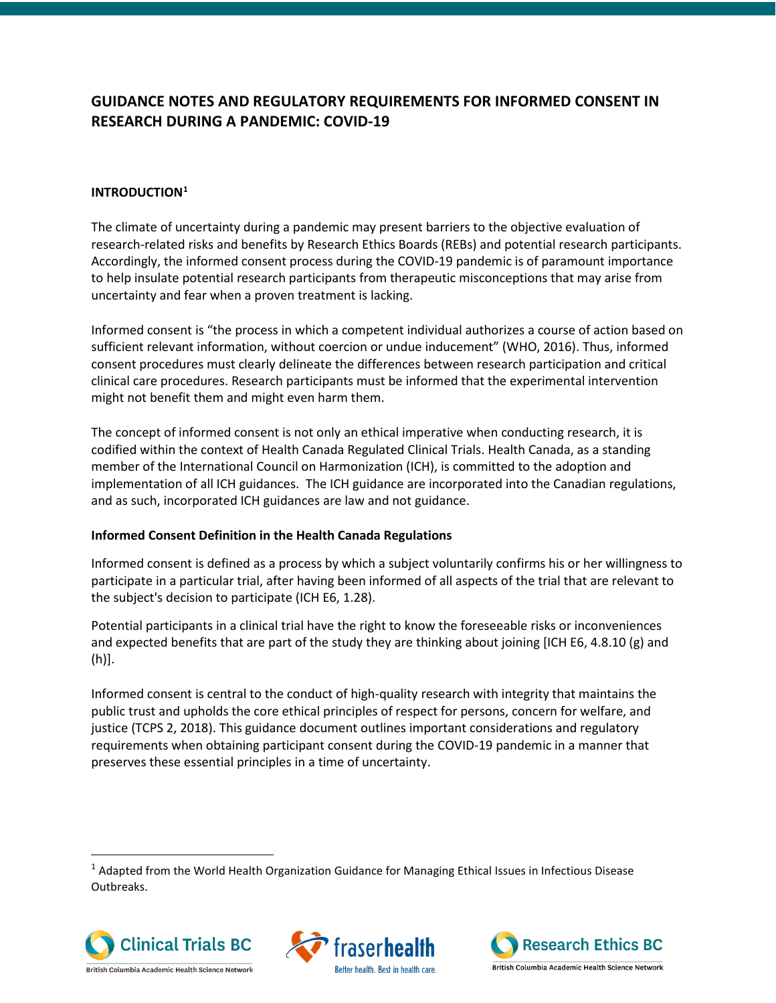# **GUIDANCE NOTES AND REGULATORY REQUIREMENTS FOR INFORMED CONSENT IN RESEARCH DURING A PANDEMIC: COVID-19**

# **INTRODUCTION[1](#page-0-0)**

The climate of uncertainty during a pandemic may present barriers to the objective evaluation of research-related risks and benefits by Research Ethics Boards (REBs) and potential research participants. Accordingly, the informed consent process during the COVID-19 pandemic is of paramount importance to help insulate potential research participants from therapeutic misconceptions that may arise from uncertainty and fear when a proven treatment is lacking.

Informed consent is "the process in which a competent individual authorizes a course of action based on sufficient relevant information, without coercion or undue inducement" (WHO, 2016). Thus, informed consent procedures must clearly delineate the differences between research participation and critical clinical care procedures. Research participants must be informed that the experimental intervention might not benefit them and might even harm them.

The concept of informed consent is not only an ethical imperative when conducting research, it is codified within the context of Health Canada Regulated Clinical Trials. Health Canada, as a standing member of the International Council on Harmonization (ICH), is committed to the adoption and implementation of all ICH guidances. The ICH guidance are incorporated into the Canadian regulations, and as such, incorporated ICH guidances are law and not guidance.

### **Informed Consent Definition in the Health Canada Regulations**

Informed consent is defined as a process by which a subject voluntarily confirms his or her willingness to participate in a particular trial, after having been informed of all aspects of the trial that are relevant to the subject's decision to participate (ICH E6, 1.28).

Potential participants in a clinical trial have the right to know the foreseeable risks or inconveniences and expected benefits that are part of the study they are thinking about joining [ICH E6, 4.8.10 (g) and (h)].

Informed consent is central to the conduct of high-quality research with integrity that maintains the public trust and upholds the core ethical principles of respect for persons, concern for welfare, and justice (TCPS 2, 2018). This guidance document outlines important considerations and regulatory requirements when obtaining participant consent during the COVID-19 pandemic in a manner that preserves these essential principles in a time of uncertainty.

<span id="page-0-0"></span><sup>1</sup> Adapted from the World Health Organization Guidance for Managing Ethical Issues in Infectious Disease Outbreaks.





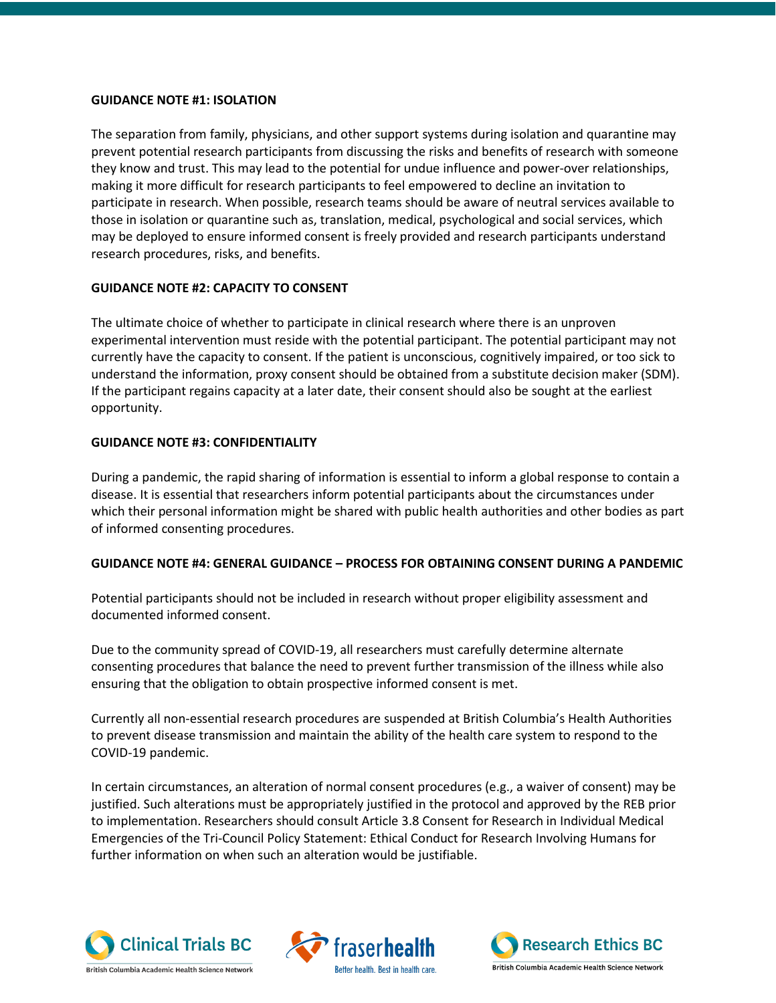#### **GUIDANCE NOTE #1: ISOLATION**

The separation from family, physicians, and other support systems during isolation and quarantine may prevent potential research participants from discussing the risks and benefits of research with someone they know and trust. This may lead to the potential for undue influence and power-over relationships, making it more difficult for research participants to feel empowered to decline an invitation to participate in research. When possible, research teams should be aware of neutral services available to those in isolation or quarantine such as, translation, medical, psychological and social services, which may be deployed to ensure informed consent is freely provided and research participants understand research procedures, risks, and benefits.

### **GUIDANCE NOTE #2: CAPACITY TO CONSENT**

The ultimate choice of whether to participate in clinical research where there is an unproven experimental intervention must reside with the potential participant. The potential participant may not currently have the capacity to consent. If the patient is unconscious, cognitively impaired, or too sick to understand the information, proxy consent should be obtained from a substitute decision maker (SDM). If the participant regains capacity at a later date, their consent should also be sought at the earliest opportunity.

#### **GUIDANCE NOTE #3: CONFIDENTIALITY**

During a pandemic, the rapid sharing of information is essential to inform a global response to contain a disease. It is essential that researchers inform potential participants about the circumstances under which their personal information might be shared with public health authorities and other bodies as part of informed consenting procedures.

### **GUIDANCE NOTE #4: GENERAL GUIDANCE – PROCESS FOR OBTAINING CONSENT DURING A PANDEMIC**

Potential participants should not be included in research without proper eligibility assessment and documented informed consent.

Due to the community spread of COVID-19, all researchers must carefully determine alternate consenting procedures that balance the need to prevent further transmission of the illness while also ensuring that the obligation to obtain prospective informed consent is met.

Currently all non-essential research procedures are suspended at British Columbia's Health Authorities to prevent disease transmission and maintain the ability of the health care system to respond to the COVID-19 pandemic.

In certain circumstances, an alteration of normal consent procedures (e.g., a waiver of consent) may be justified. Such alterations must be appropriately justified in the protocol and approved by the REB prior to implementation. Researchers should consult Article 3.8 Consent for Research in Individual Medical Emergencies of the Tri-Council Policy Statement: Ethical Conduct for Research Involving Humans for further information on when such an alteration would be justifiable.

traserhealth

Better health. Best in health care



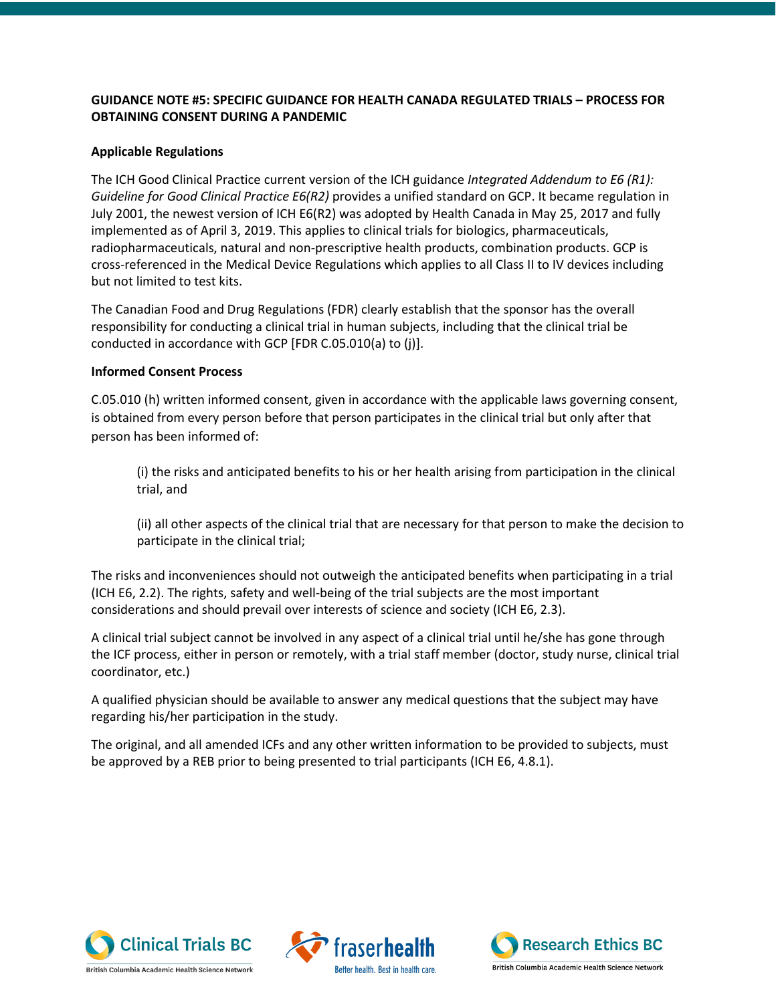# **GUIDANCE NOTE #5: SPECIFIC GUIDANCE FOR HEALTH CANADA REGULATED TRIALS – PROCESS FOR OBTAINING CONSENT DURING A PANDEMIC**

### **Applicable Regulations**

The ICH Good Clinical Practice current version of the ICH guidance *[Integrated Addendum to E6 \(R1\):](https://www.canada.ca/en/health-canada/services/drugs-health-products/drug-products/applications-submissions/guidance-documents/international-conference-harmonisation/efficacy/good-clinical-practice-consolidated-guideline-topic.html)  [Guideline for Good Clinical Practice E6\(R2\)](https://www.canada.ca/en/health-canada/services/drugs-health-products/drug-products/applications-submissions/guidance-documents/international-conference-harmonisation/efficacy/good-clinical-practice-consolidated-guideline-topic.html)* provides a unified standard on GCP. It became regulation in July 2001, the newest version of ICH E6(R2) was adopted by Health Canada in May 25, 2017 and fully implemented as of April 3, 2019. This applies to clinical trials for biologics, pharmaceuticals, radiopharmaceuticals, natural and non-prescriptive health products, combination products. GCP is cross-referenced in the Medical Device Regulations which applies to all Class II to IV devices including but not limited to test kits.

The Canadian Food and Drug Regulations (FDR) clearly establish that the sponsor has the overall responsibility for conducting a clinical trial in human subjects, including that the clinical trial be conducted in accordance with GCP [FDR C.05.010(a) to (j)].

# **Informed Consent Process**

C.05.010 (h) written informed consent, given in accordance with the applicable laws governing consent, is obtained from every person before that person participates in the clinical trial but only after that person has been informed of:

(i) the risks and anticipated benefits to his or her health arising from participation in the clinical trial, and

(ii) all other aspects of the clinical trial that are necessary for that person to make the decision to participate in the clinical trial;

The risks and inconveniences should not outweigh the anticipated benefits when participating in a trial (ICH E6, 2.2). The rights, safety and well-being of the trial subjects are the most important considerations and should prevail over interests of science and society (ICH E6, 2.3).

A clinical trial subject cannot be involved in any aspect of a clinical trial until he/she has gone through the ICF process, either in person or remotely, with a trial staff member (doctor, study nurse, clinical trial coordinator, etc.)

A qualified physician should be available to answer any medical questions that the subject may have regarding his/her participation in the study.

The original, and all amended ICFs and any other written information to be provided to subjects, must be approved by a REB prior to being presented to trial participants (ICH E6, 4.8.1).

traser

Better health. Best in health care



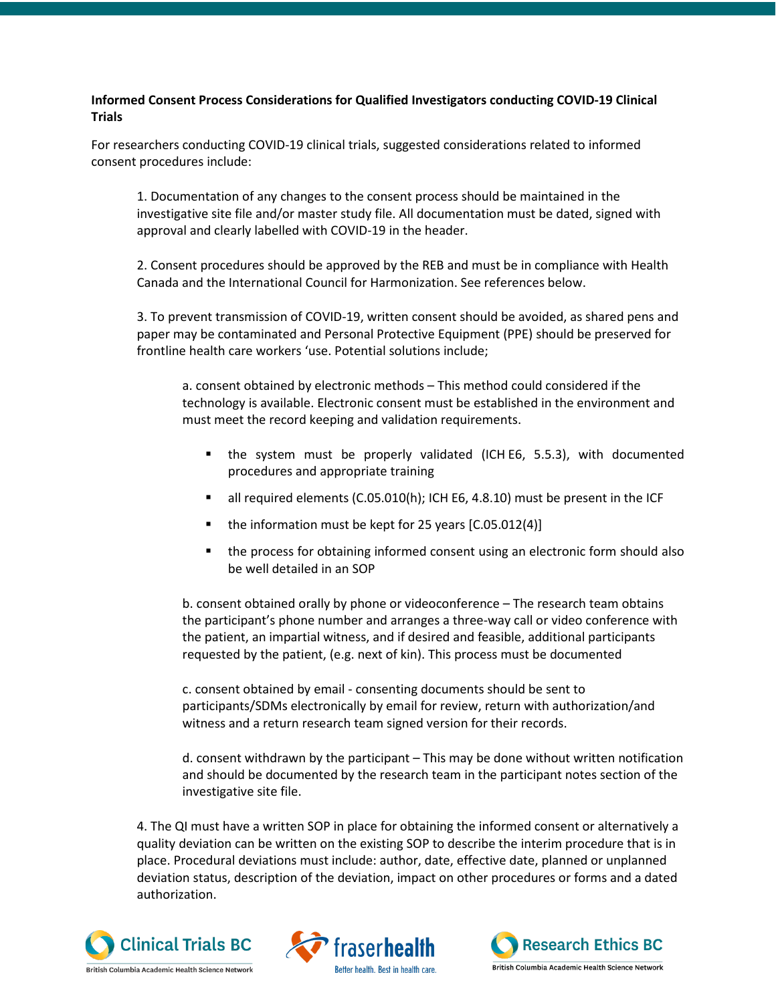# **Informed Consent Process Considerations for Qualified Investigators conducting COVID-19 Clinical Trials**

For researchers conducting COVID-19 clinical trials, suggested considerations related to informed consent procedures include:

1. Documentation of any changes to the consent process should be maintained in the investigative site file and/or master study file. All documentation must be dated, signed with approval and clearly labelled with COVID-19 in the header.

2. Consent procedures should be approved by the REB and must be in compliance with Health Canada and the International Council for Harmonization. See references below.

3. To prevent transmission of COVID-19, written consent should be avoided, as shared pens and paper may be contaminated and Personal Protective Equipment (PPE) should be preserved for frontline health care workers 'use. Potential solutions include;

a. consent obtained by electronic methods – This method could considered if the technology is available. Electronic consent must be established in the environment and must meet the record keeping and validation requirements.

- the system must be properly validated (ICH E6, 5.5.3), with documented procedures and appropriate training
- all required elements (C.05.010(h); ICH E6, 4.8.10) must be present in the ICF
- the information must be kept for 25 years [C.05.012(4)]
- the process for obtaining informed consent using an electronic form should also be well detailed in an SOP

b. consent obtained orally by phone or videoconference – The research team obtains the participant's phone number and arranges a three-way call or video conference with the patient, an impartial witness, and if desired and feasible, additional participants requested by the patient, (e.g. next of kin). This process must be documented

c. consent obtained by email - consenting documents should be sent to participants/SDMs electronically by email for review, return with authorization/and witness and a return research team signed version for their records.

d. consent withdrawn by the participant – This may be done without written notification and should be documented by the research team in the participant notes section of the investigative site file.

4. The QI must have a written SOP in place for obtaining the informed consent or alternatively a quality deviation can be written on the existing SOP to describe the interim procedure that is in place. Procedural deviations must include: author, date, effective date, planned or unplanned deviation status, description of the deviation, impact on other procedures or forms and a dated authorization.

fraserhealth

Better health. Best in health car



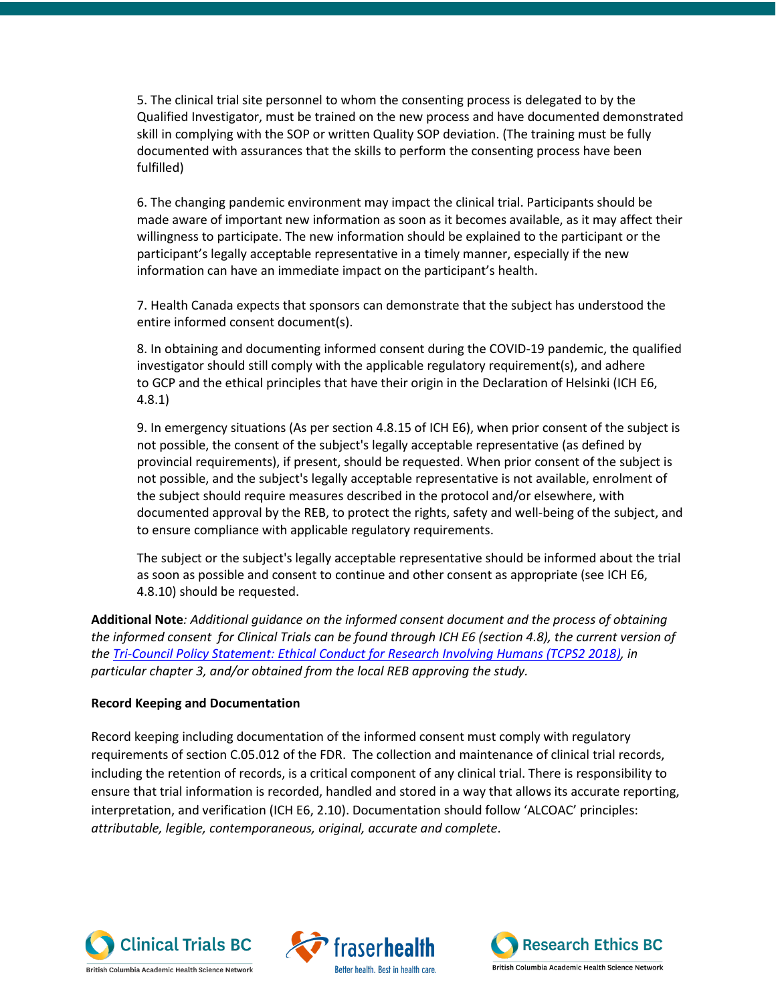5. The clinical trial site personnel to whom the consenting process is delegated to by the Qualified Investigator, must be trained on the new process and have documented demonstrated skill in complying with the SOP or written Quality SOP deviation. (The training must be fully documented with assurances that the skills to perform the consenting process have been fulfilled)

6. The changing pandemic environment may impact the clinical trial. Participants should be made aware of important new information as soon as it becomes available, as it may affect their willingness to participate. The new information should be explained to the participant or the participant's legally acceptable representative in a timely manner, especially if the new information can have an immediate impact on the participant's health.

7. Health Canada expects that sponsors can demonstrate that the subject has understood the entire informed consent document(s).

8. In obtaining and documenting informed consent during the COVID-19 pandemic, the qualified investigator should still comply with the applicable regulatory requirement(s), and adhere to GCP and the ethical principles that have their origin in the Declaration of Helsinki (ICH E6, 4.8.1)

9. In emergency situations (As per section 4.8.15 of ICH E6), when prior consent of the subject is not possible, the consent of the subject's legally acceptable representative (as defined by provincial requirements), if present, should be requested. When prior consent of the subject is not possible, and the subject's legally acceptable representative is not available, enrolment of the subject should require measures described in the protocol and/or elsewhere, with documented approval by the REB, to protect the rights, safety and well-being of the subject, and to ensure compliance with applicable regulatory requirements.

The subject or the subject's legally acceptable representative should be informed about the trial as soon as possible and consent to continue and other consent as appropriate (see ICH E6, 4.8.10) should be requested.

**Additional Note***: Additional guidance on the informed consent document and the process of obtaining the informed consent for Clinical Trials can be found through ICH E6 (section 4.8), the current version of the [Tri-Council Policy Statement: Ethical Conduct for Research Involving Humans \(TCPS2](https://ethics.gc.ca/eng/tcps2-eptc2_2018_chapter3-chapitre3.html) 2018), in particular chapter 3, and/or obtained from the local REB approving the study.*

### **Record Keeping and Documentation**

Record keeping including documentation of the informed consent must comply with regulatory requirements of section C.05.012 of the FDR. The collection and maintenance of clinical trial records, including the retention of records, is a critical component of any clinical trial. There is responsibility to ensure that trial information is recorded, handled and stored in a way that allows its accurate reporting, interpretation, and verification (ICH E6, 2.10). Documentation should follow 'ALCOAC' principles: *attributable, legible, contemporaneous, original, accurate and complete*.